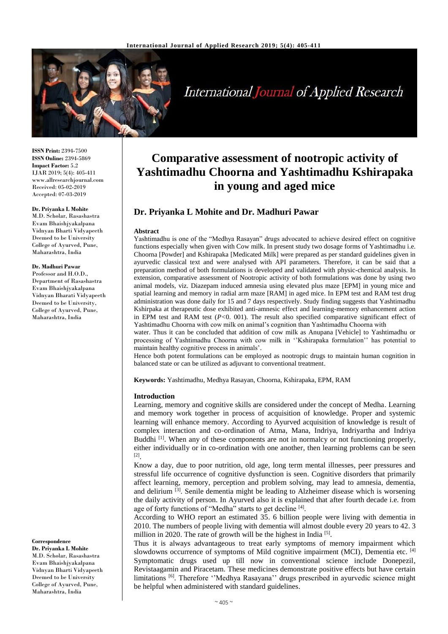

# International Journal of Applied Research

**ISSN Print:** 2394-7500 **ISSN Online:** 2394-5869 **Impact Factor:** 5.2 IJAR 2019; 5(4): 405-411 www.allresearchjournal.com Received: 05-02-2019 Accepted: 07-03-2019

#### **Dr. Priyanka L Mohite**

M.D. Scholar, Rasashastra Evam Bhaishjyakalpana Vidnyan Bharti Vidyapeeth Deemed to be University College of Ayurved, Pune, Maharashtra, India

## **Dr. Madhuri Pawar**

Professor and H.O.D., Department of Rasashastra Evam Bhaishjyakalpana Vidnyan Bharati Vidyapeeth Deemed to be University College of Ayurved, Pune, Maharashtra, India

**Correspondence**

**Dr. Priyanka L Mohite** M.D. Scholar, Rasashastra Evam Bhaishjyakalpana Vidnyan Bharti Vidyapeeth Deemed to be University College of Ayurved, Pune, Maharashtra, India

# **Comparative assessment of nootropic activity of Yashtimadhu Choorna and Yashtimadhu Kshirapaka in young and aged mice**

# **Dr. Priyanka L Mohite and Dr. Madhuri Pawar**

#### **Abstract**

Yashtimadhu is one of the "Medhya Rasayan" drugs advocated to achieve desired effect on cognitive functions especially when given with Cow milk. In present study two dosage forms of Yashtimadhu i.e. Choorna [Powder] and Kshirapaka [Medicated Milk] were prepared as per standard guidelines given in ayurvedic classical text and were analysed with API parameters. Therefore, it can be said that a preparation method of both formulations is developed and validated with physic-chemical analysis. In extension, comparative assessment of Nootropic activity of both formulations was done by using two animal models, viz. Diazepam induced amnesia using elevated plus maze [EPM] in young mice and spatial learning and memory in radial arm maze [RAM] in aged mice. In EPM test and RAM test drug administration was done daily for 15 and 7 days respectively. Study finding suggests that Yashtimadhu Kshirpaka at therapeutic dose exhibited anti-amnesic effect and learning-memory enhancement action in EPM test and RAM test  $(P<0.001)$ . The result also specified comparative significant effect of Yashtimadhu Choorna with cow milk on animal's cognition than Yashtimadhu Choorna with

water. Thus it can be concluded that addition of cow milk as Anupana [Vehicle] to Yashtimadhu or processing of Yashtimadhu Choorna with cow milk in ''Kshirapaka formulation'' has potential to maintain healthy cognitive process in animals'.

Hence both potent formulations can be employed as nootropic drugs to maintain human cognition in balanced state or can be utilized as adjuvant to conventional treatment.

**Keywords:** Yashtimadhu, Medhya Rasayan, Choorna, Kshirapaka, EPM, RAM

#### **Introduction**

Learning, memory and cognitive skills are considered under the concept of Medha. Learning and memory work together in process of acquisition of knowledge. Proper and systemic learning will enhance memory. According to Ayurved acquisition of knowledge is result of complex interaction and co-ordination of Atma, Mana, Indriya, Indriyartha and Indriya Buddhi<sup>[1]</sup>. When any of these components are not in normalcy or not functioning properly, either individually or in co-ordination with one another, then learning problems can be seen [2] .

Know a day, due to poor nutrition, old age, long term mental illnesses, peer pressures and stressful life occurrence of cognitive dysfunction is seen. Cognitive disorders that primarily affect learning, memory, perception and problem solving, may lead to amnesia, dementia, and delirium <sup>[3]</sup>. Senile dementia might be leading to Alzheimer disease which is worsening the daily activity of person. In Ayurved also it is explained that after fourth decade i.e. from age of forty functions of "Medha" starts to get decline [4].

According to WHO report an estimated 35. 6 billion people were living with dementia in 2010. The numbers of people living with dementia will almost double every 20 years to 42. 3 million in 2020. The rate of growth will be the highest in India  $[5]$ .

Thus it is always advantageous to treat early symptoms of memory impairment which slowdowns occurrence of symptoms of Mild cognitive impairment (MCI), Dementia etc. [4] Symptomatic drugs used up till now in conventional science include Donepezil, Revistaagamin and Piracetam. These medicines demonstrate positive effects but have certain limitations [6]. Therefore "Medhya Rasayana" drugs prescribed in ayurvedic science might be helpful when administered with standard guidelines.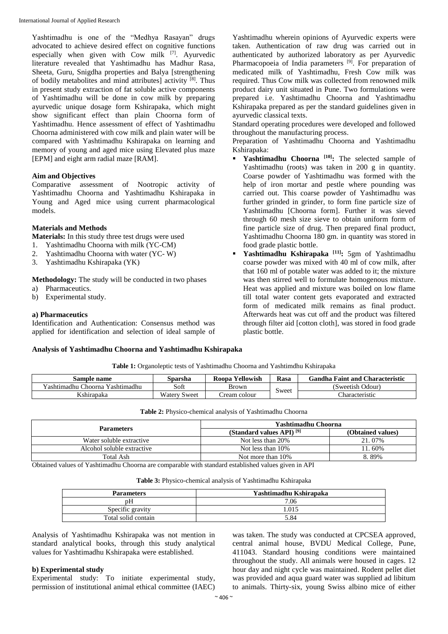Yashtimadhu is one of the "Medhya Rasayan" drugs advocated to achieve desired effect on cognitive functions especially when given with  $\text{Cow milk}$  [7]. Ayurvedic literature revealed that Yashtimadhu has Madhur Rasa, Sheeta, Guru, Snigdha properties and Balya [strengthening of bodily metabolites and mind attributes] activity [8]. Thus in present study extraction of fat soluble active components of Yashtimadhu will be done in cow milk by preparing ayurvedic unique dosage form Kshirapaka, which might show significant effect than plain Choorna form of Yashtimadhu. Hence assessment of effect of Yashtimadhu Choorna administered with cow milk and plain water will be compared with Yashtimadhu Kshirapaka on learning and memory of young and aged mice using Elevated plus maze [EPM] and eight arm radial maze [RAM].

# **Aim and Objectives**

Comparative assessment of Nootropic activity of Yashtimadhu Choorna and Yashtimadhu Kshirapaka in Young and Aged mice using current pharmacological models.

# **Materials and Methods**

**Materials:** In this study three test drugs were used

- 1. Yashtimadhu Choorna with milk (YC-CM)
- 2. Yashtimadhu Choorna with water (YC- W)
- 3. Yashtimadhu Kshirapaka (YK)

**Methodology:** The study will be conducted in two phases

- a) Pharmaceutics.
- b) Experimental study.

# **a) Pharmaceutics**

Identification and Authentication: Consensus method was applied for identification and selection of ideal sample of

Yashtimadhu wherein opinions of Ayurvedic experts were taken. Authentication of raw drug was carried out in authenticated by authorized laboratory as per Ayurvedic Pharmacopoeia of India parameters <sup>[9]</sup>. For preparation of medicated milk of Yashtimadhu, Fresh Cow milk was required. Thus Cow milk was collected from renowned milk product dairy unit situated in Pune. Two formulations were prepared i.e. Yashtimadhu Choorna and Yashtimadhu Kshirapaka prepared as per the standard guidelines given in ayurvedic classical texts.

Standard operating procedures were developed and followed throughout the manufacturing process.

Preparation of Yashtimadhu Choorna and Yashtimadhu Kshirapaka:

- **Yashtimadhu Choorna [10]:** The selected sample of Yashtimadhu (roots) was taken in 200 g in quantity. Coarse powder of Yashtimadhu was formed with the help of iron mortar and pestle where pounding was carried out. This coarse powder of Yashtimadhu was further grinded in grinder, to form fine particle size of Yashtimadhu [Choorna form]. Further it was sieved through 60 mesh size sieve to obtain uniform form of fine particle size of drug. Then prepared final product, Yashtimadhu Choorna 180 gm. in quantity was stored in food grade plastic bottle.
- **Yashtimadhu Kshirapaka [11]:** 5gm of Yashtimadhu coarse powder was mixed with 40 ml of cow milk, after that 160 ml of potable water was added to it; the mixture was then stirred well to formulate homogenous mixture. Heat was applied and mixture was boiled on low flame till total water content gets evaporated and extracted form of medicated milk remains as final product. Afterwards heat was cut off and the product was filtered through filter aid [cotton cloth], was stored in food grade plastic bottle.

## **Analysis of Yashtimadhu Choorna and Yashtimadhu Kshirapaka**

|  | <b>Table 1:</b> Organoleptic tests of Yashtimadhu Choorna and Yashtimdhu Kshirapaka |  |  |  |  |  |  |
|--|-------------------------------------------------------------------------------------|--|--|--|--|--|--|
|  |                                                                                     |  |  |  |  |  |  |

| <b>Sample name</b>                 | Sparsha             | Roopa Yellowish | Rasa  | <b>Gandha Faint and Characteristic</b> |  |
|------------------------------------|---------------------|-----------------|-------|----------------------------------------|--|
| Yashtimadhu Choorna<br>Yashtimadhu | Soft                | Brown           |       | (Sweetish Odour)                       |  |
| Kshirapaka                         | <b>Watery Sweet</b> | ream colour     | Sweet | Characteristic                         |  |

|                            | Yashtimadhu Choorna                  |                   |  |  |  |
|----------------------------|--------------------------------------|-------------------|--|--|--|
| <b>Parameters</b>          | (Standard values API) <sup>[9]</sup> | (Obtained values) |  |  |  |
| Water soluble extractive   | Not less than 20%                    | 21.07%            |  |  |  |
| Alcohol soluble extractive | Not less than 10%                    | 11.60%            |  |  |  |
| Total Ash                  | Not more than 10%                    | 8.89%             |  |  |  |

Obtained values of Yashtimadhu Choorna are comparable with standard established values given in API

**Table 3:** Physico-chemical analysis of Yashtimadhu Kshirapaka

| <b>Parameters</b>   | Yashtimadhu Kshirapaka |
|---------------------|------------------------|
| ገH                  | 7.06                   |
| Specific gravity    | .015                   |
| Total solid contain | 5.84                   |

Analysis of Yashtimadhu Kshirapaka was not mention in standard analytical books, through this study analytical values for Yashtimadhu Kshirapaka were established.

# **b) Experimental study**

Experimental study: To initiate experimental study, permission of institutional animal ethical committee (IAEC)

was taken. The study was conducted at CPCSEA approved, central animal house, BVDU Medical College, Pune, 411043. Standard housing conditions were maintained throughout the study. All animals were housed in cages. 12 hour day and night cycle was maintained. Rodent pellet diet was provided and aqua guard water was supplied ad libitum to animals. Thirty-six, young Swiss albino mice of either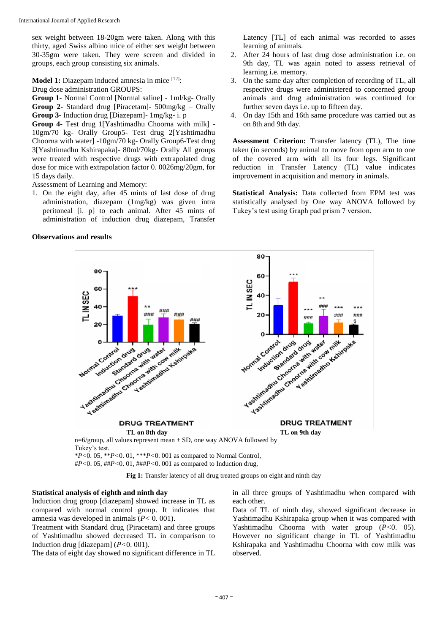sex weight between 18-20gm were taken. Along with this thirty, aged Swiss albino mice of either sex weight between 30-35gm were taken. They were screen and divided in groups, each group consisting six animals.

**Model 1:** Diazepam induced amnesia in mice <sup>[12]</sup>:

Drug dose administration GROUPS:

**Group 1-** Normal Control [Normal saline] - 1ml/kg- Orally **Group 2-** Standard drug [Piracetam]- 500mg/kg – Orally **Group 3-** Induction drug [Diazepam]- 1mg/kg- i. p

**Group 4-** Test drug 1[Yashtimadhu Choorna with milk] - 10gm/70 kg- Orally Group5- Test drug 2[Yashtimadhu Choorna with water] -10gm/70 kg- Orally Group6-Test drug 3[Yashtimadhu Kshirapaka]- 80ml/70kg- Orally All groups were treated with respective drugs with extrapolated drug dose for mice with extrapolation factor 0. 0026mg/20gm, for 15 days daily.

Assessment of Learning and Memory:

1. On the eight day, after 45 mints of last dose of drug administration, diazepam (1mg/kg) was given intra peritoneal [i. p] to each animal. After 45 mints of administration of induction drug diazepam, Transfer

#### **Observations and results**

Latency [TL] of each animal was recorded to asses learning of animals.

- 2. After 24 hours of last drug dose administration i.e. on 9th day, TL was again noted to assess retrieval of learning i.e. memory.
- 3. On the same day after completion of recording of TL, all respective drugs were administered to concerned group animals and drug administration was continued for further seven days i.e. up to fifteen day.
- 4. On day 15th and 16th same procedure was carried out as on 8th and 9th day.

**Assessment Criterion:** Transfer latency (TL), The time taken (in seconds) by animal to move from open arm to one of the covered arm with all its four legs. Significant reduction in Transfer Latency (TL) value indicates improvement in acquisition and memory in animals.

**Statistical Analysis:** Data collected from EPM test was statistically analysed by One way ANOVA followed by Tukey's test using Graph pad prism 7 version.



 $n=6$ /group, all values represent mean  $\pm$  SD, one way ANOVA followed by Tukey's test.

\**P<*0. 05, \*\**P<*0. 01, \*\*\**P<*0. 001 as compared to Normal Control, #*P<*0. 05, ##*P<*0. 01, ###*P<*0. 001 as compared to Induction drug,

**Fig 1:** Transfer latency of all drug treated groups on eight and ninth day

#### **Statistical analysis of eighth and ninth day**

Induction drug group [diazepam] showed increase in TL as compared with normal control group. It indicates that amnesia was developed in animals (*P<* 0. 001).

Treatment with Standard drug (Piracetam) and three groups of Yashtimadhu showed decreased TL in comparison to Induction drug [diazepam] (*P<*0. 001).

The data of eight day showed no significant difference in TL

in all three groups of Yashtimadhu when compared with each other.

Data of TL of ninth day, showed significant decrease in Yashtimadhu Kshirapaka group when it was compared with Yashtimadhu Choorna with water group (*P<*0. 05). However no significant change in TL of Yashtimadhu Kshirapaka and Yashtimadhu Choorna with cow milk was observed.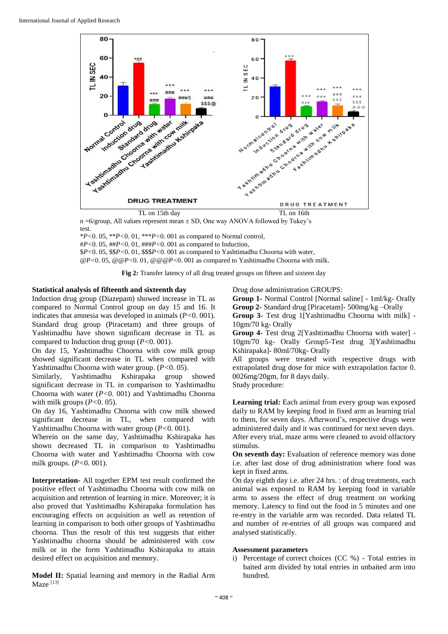

 $n = 6$ /group, All values represent mean  $\pm$  SD, One way ANOVA followed by Tukey's test.

\**P<*0. 05, \*\**P<*0. 01, \*\*\**P<*0. 001 as compared to Normal control, #*P<*0. 05, ##*P<*0. 01, ###*P<*0. 001 as compared to Induction, \$*P<*0. 05, \$\$*P<*0. 01, \$\$\$*P<*0. 001 as compared to Yashtimadhu Choorna with water, @*P<*0. 05, @@*P<*0. 01, @@@*P<*0. 001 as compared to Yashtimadhu Choorna with milk.

**Fig 2:** Transfer latency of all drug treated groups on fifteen and sixteen day

#### **Statistical analysis of fifteenth and sixteenth day**

Induction drug group (Diazepam) showed increase in TL as compared to Normal Control group on day 15 and 16. It indicates that amnesia was developed in animals (*P<*0. 001). Standard drug group (Piracetam) and three groups of Yashtimadhu have shown significant decrease in TL as compared to Induction drug group (*P<*0. 001).

On day 15, Yashtimadhu Choorna with cow milk group showed significant decrease in TL when compared with Yashtimadhu Choorna with water group. (*P<*0. 05).

Similarly, Yashtimadhu Kshirapaka group showed significant decrease in TL in comparison to Yashtimadhu Choorna with water (*P<*0. 001) and Yashtimadhu Choorna with milk groups (*P<*0. 05).

On day 16, Yashtimadhu Choorna with cow milk showed significant decrease in TL, when compared with Yashtimadhu Choorna with water group (*P<*0. 001).

Wherein on the same day, Yashtimadhu Kshirapaka has shown decreased TL in comparison to Yashtimadhu Choorna with water and Yashtimadhu Choorna with cow milk groups. (*P<*0. 001).

**Interpretation-** All together EPM test result confirmed the positive effect of Yashtimadhu Choorna with cow milk on acquisition and retention of learning in mice. Moreover; it is also proved that Yashtimadhu Kshirapaka formulation has encouraging effects on acquisition as well as retention of learning in comparison to both other groups of Yashtimadhu choorna. Thus the result of this test suggests that either Yashtimadhu choorna should be administered with cow milk or in the form Yashtimadhu Kshirapaka to attain desired effect on acquisition and memory.

**Model II:** Spatial learning and memory in the Radial Arm Maze [13]

Drug dose administration GROUPS:

- **Group 1-** Normal Control [Normal saline] 1ml/kg- Orally
- **Group 2-** Standard drug [Piracetam]- 500mg/kg –Orally

**Group 3-** Test drug 1[Yashtimadhu Choorna with milk] - 10gm/70 kg- Orally

**Group 4-** Test drug 2[Yashtimadhu Choorna with water] - 10gm/70 kg- Orally Group5-Test drug 3[Yashtimadhu Kshirapaka]- 80ml/70kg- Orally

All groups were treated with respective drugs with extrapolated drug dose for mice with extrapolation factor 0. 0026mg/20gm, for 8 days daily.

Study procedure:

**Learning trial:** Each animal from every group was exposed daily to RAM by keeping food in fixed arm as learning trial to them, for seven days. Afterword's, respective drugs were administered daily and it was continued for next seven days. After every trial, maze arms were cleaned to avoid olfactory stimulus.

**On seventh day:** Evaluation of reference memory was done i.e. after last dose of drug administration where food was kept in fixed arms.

On day eighth day i.e. after 24 hrs. : of drug treatments, each animal was exposed to RAM by keeping food in variable arms to assess the effect of drug treatment on working memory. Latency to find out the food in 5 minutes and one re-entry in the variable arm was recorded. Data related TL and number of re-entries of all groups was compared and analysed statistically.

#### **Assessment parameters**

i) Percentage of correct choices (CC %) - Total entries in baited arm divided by total entries in unbaited arm into hundred.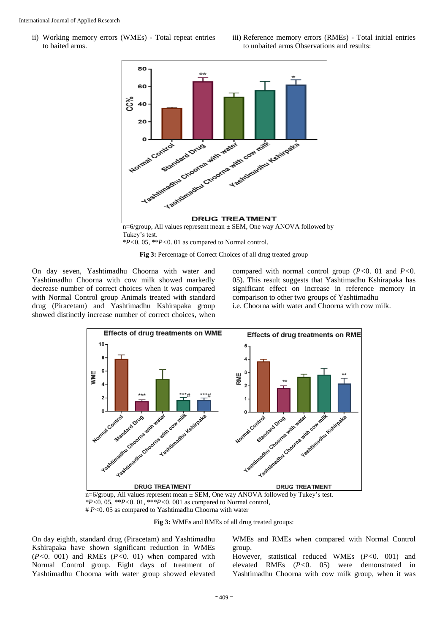ii) Working memory errors (WMEs) - Total repeat entries to baited arms.





Tukey's test. \**P<*0. 05, \*\**P<*0. 01 as compared to Normal control.

**Fig 3:** Percentage of Correct Choices of all drug treated group

On day seven, Yashtimadhu Choorna with water and Yashtimadhu Choorna with cow milk showed markedly decrease number of correct choices when it was compared with Normal Control group Animals treated with standard drug (Piracetam) and Yashtimadhu Kshirapaka group showed distinctly increase number of correct choices, when compared with normal control group (*P<*0. 01 and *P<*0. 05). This result suggests that Yashtimadhu Kshirapaka has significant effect on increase in reference memory in comparison to other two groups of Yashtimadhu i.e. Choorna with water and Choorna with cow milk.





\**P<*0. 05, \*\**P<*0. 01, \*\*\**P<*0. 001 as compared to Normal control, # *P<*0. 05 as compared to Yashtimadhu Choorna with water

**Fig 3:** WMEs and RMEs of all drug treated groups:

On day eighth, standard drug (Piracetam) and Yashtimadhu Kshirapaka have shown significant reduction in WMEs (*P<*0. 001) and RMEs (*P<*0. 01) when compared with Normal Control group. Eight days of treatment of Yashtimadhu Choorna with water group showed elevated WMEs and RMEs when compared with Normal Control group.

However, statistical reduced WMEs (*P<*0. 001) and elevated RMEs (*P<*0. 05) were demonstrated in Yashtimadhu Choorna with cow milk group, when it was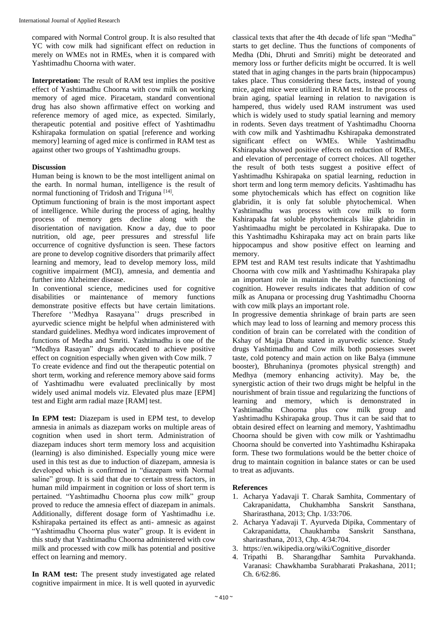compared with Normal Control group. It is also resulted that YC with cow milk had significant effect on reduction in merely on WMEs not in RMEs, when it is compared with Yashtimadhu Choorna with water.

**Interpretation:** The result of RAM test implies the positive effect of Yashtimadhu Choorna with cow milk on working memory of aged mice. Piracetam, standard conventional drug has also shown affirmative effect on working and reference memory of aged mice, as expected. Similarly, therapeutic potential and positive effect of Yashtimadhu Kshirapaka formulation on spatial [reference and working memory] learning of aged mice is confirmed in RAM test as against other two groups of Yashtimadhu groups.

# **Discussion**

Human being is known to be the most intelligent animal on the earth. In normal human, intelligence is the result of normal functioning of Tridosh and Triguna<sup>[14]</sup>.

Optimum functioning of brain is the most important aspect of intelligence. While during the process of aging, healthy process of memory gets decline along with the disorientation of navigation. Know a day, due to poor nutrition, old age, peer pressures and stressful life occurrence of cognitive dysfunction is seen. These factors are prone to develop cognitive disorders that primarily affect learning and memory, lead to develop memory loss, mild cognitive impairment (MCI), amnesia, and dementia and further into Alzheimer disease.

In conventional science, medicines used for cognitive disabilities or maintenance of memory functions demonstrate positive effects but have certain limitations. Therefore ''Medhya Rasayana'' drugs prescribed in ayurvedic science might be helpful when administered with standard guidelines. Medhya word indicates improvement of functions of Medha and Smriti. Yashtimadhu is one of the "Medhya Rasayan" drugs advocated to achieve positive effect on cognition especially when given with Cow milk. 7 To create evidence and find out the therapeutic potential on short term, working and reference memory above said forms of Yashtimadhu were evaluated preclinically by most widely used animal models viz. Elevated plus maze [EPM] test and Eight arm radial maze [RAM] test.

**In EPM test:** Diazepam is used in EPM test, to develop amnesia in animals as diazepam works on multiple areas of cognition when used in short term. Administration of diazepam induces short term memory loss and acquisition (learning) is also diminished. Especially young mice were used in this test as due to induction of diazepam, amnesia is developed which is confirmed in "diazepam with Normal saline" group. It is said that due to certain stress factors, in human mild impairment in cognition or loss of short term is pertained. "Yashtimadhu Choorna plus cow milk" group proved to reduce the amnesia effect of diazepam in animals. Additionally, different dosage form of Yashtimadhu i.e. Kshirapaka pertained its effect as anti- amnesic as against "Yashtimadhu Choorna plus water" group. It is evident in this study that Yashtimadhu Choorna administered with cow milk and processed with cow milk has potential and positive effect on learning and memory.

**In RAM test:** The present study investigated age related cognitive impairment in mice. It is well quoted in ayurvedic

classical texts that after the 4th decade of life span "Medha" starts to get decline. Thus the functions of components of Medha (Dhi, Dhruti and Smriti) might be deteorated and memory loss or further deficits might be occurred. It is well stated that in aging changes in the parts brain (hippocampus) takes place. Thus considering these facts, instead of young mice, aged mice were utilized in RAM test. In the process of brain aging, spatial learning in relation to navigation is hampered, thus widely used RAM instrument was used which is widely used to study spatial learning and memory in rodents. Seven days treatment of Yashtimadhu Choorna with cow milk and Yashtimadhu Kshirapaka demonstrated significant effect on WMEs. While Yashtimadhu Kshirapaka showed positive effects on reduction of RMEs, and elevation of percentage of correct choices. All together the result of both tests suggest a positive effect of Yashtimadhu Kshirapaka on spatial learning, reduction in short term and long term memory deficits. Yashtimadhu has some phytochemicals which has effect on cognition like glabridin, it is only fat soluble phytochemical. When Yashtimadhu was process with cow milk to form Kshirapaka fat soluble phytochemicals like glabridin in Yashtimaadhu might be percolated in Kshirapaka. Due to this Yashtimadhu Kshirapaka may act on brain parts like hippocampus and show positive effect on learning and memory.

EPM test and RAM test results indicate that Yashtimadhu Choorna with cow milk and Yashtimadhu Kshirapaka play an important role in maintain the healthy functioning of cognition. However results indicates that addition of cow milk as Anupana or processing drug Yashtimadhu Choorna with cow milk plays an important role.

In progressive dementia shrinkage of brain parts are seen which may lead to loss of learning and memory process this condition of brain can be correlated with the condition of Kshay of Majja Dhatu stated in ayurvedic science. Study drugs Yashtimadhu and Cow milk both possesses sweet taste, cold potency and main action on like Balya (immune booster), Bhruhaninya (promotes physical strength) and Medhya (memory enhancing activity). May be, the synergistic action of their two drugs might be helpful in the nourishment of brain tissue and regularizing the functions of learning and memory, which is demonstrated in Yashtimadhu Choorna plus cow milk group and Yashtimadhu Kshirapaka group. Thus it can be said that to obtain desired effect on learning and memory, Yashtimadhu Choorna should be given with cow milk or Yashtimadhu Choorna should be converted into Yashtimadhu Kshirapaka form. These two formulations would be the better choice of drug to maintain cognition in balance states or can be used to treat as adjuvants.

#### **References**

- 1. Acharya Yadavaji T. Charak Samhita, Commentary of Cakrapanidatta, Chukhambha Sanskrit Sansthana, Sharirasthana, 2013; Chp. 1/33:706.
- 2. Acharya Yadavaji T. Ayurveda Dipika, Commentary of Cakrapanidatta, Chaukhamba Sanskrit Sansthana, sharirasthana, 2013, Chp. 4/34:704.
- 3. https://en.wikipedia.org/wiki/Cognitive\_disorder
- 4. Tripathi B. Sharangdhar Samhita Purvakhanda. Varanasi: Chawkhamba Surabharati Prakashana, 2011; Ch. 6/62:86.